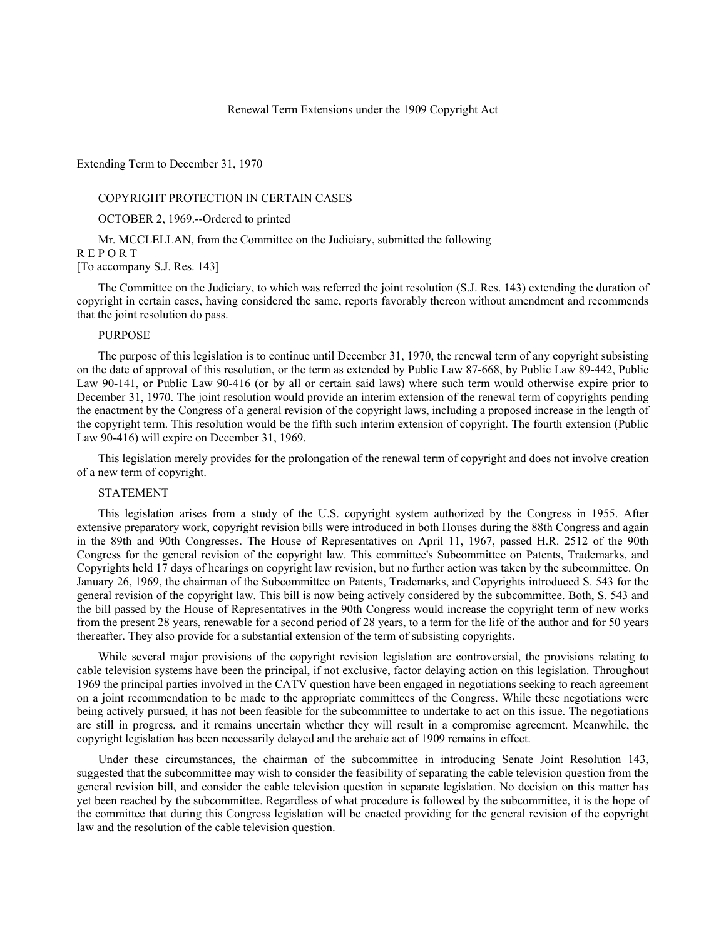#### Renewal Term Extensions under the 1909 Copyright Act

Extending Term to December 31, 1970

### COPYRIGHT PROTECTION IN CERTAIN CASES

OCTOBER 2, 1969.--Ordered to printed

Mr. MCCLELLAN, from the Committee on the Judiciary, submitted the following R E P O R T

[To accompany S.J. Res. 143]

The Committee on the Judiciary, to which was referred the joint resolution (S.J. Res. 143) extending the duration of copyright in certain cases, having considered the same, reports favorably thereon without amendment and recommends that the joint resolution do pass.

## **PURPOSE**

The purpose of this legislation is to continue until December 31, 1970, the renewal term of any copyright subsisting on the date of approval of this resolution, or the term as extended by Public Law 87-668, by Public Law 89-442, Public Law 90-141, or Public Law 90-416 (or by all or certain said laws) where such term would otherwise expire prior to December 31, 1970. The joint resolution would provide an interim extension of the renewal term of copyrights pending the enactment by the Congress of a general revision of the copyright laws, including a proposed increase in the length of the copyright term. This resolution would be the fifth such interim extension of copyright. The fourth extension (Public Law 90-416) will expire on December 31, 1969.

This legislation merely provides for the prolongation of the renewal term of copyright and does not involve creation of a new term of copyright.

# STATEMENT

This legislation arises from a study of the U.S. copyright system authorized by the Congress in 1955. After extensive preparatory work, copyright revision bills were introduced in both Houses during the 88th Congress and again in the 89th and 90th Congresses. The House of Representatives on April 11, 1967, passed H.R. 2512 of the 90th Congress for the general revision of the copyright law. This committee's Subcommittee on Patents, Trademarks, and Copyrights held 17 days of hearings on copyright law revision, but no further action was taken by the subcommittee. On January 26, 1969, the chairman of the Subcommittee on Patents, Trademarks, and Copyrights introduced S. 543 for the general revision of the copyright law. This bill is now being actively considered by the subcommittee. Both, S. 543 and the bill passed by the House of Representatives in the 90th Congress would increase the copyright term of new works from the present 28 years, renewable for a second period of 28 years, to a term for the life of the author and for 50 years thereafter. They also provide for a substantial extension of the term of subsisting copyrights.

While several major provisions of the copyright revision legislation are controversial, the provisions relating to cable television systems have been the principal, if not exclusive, factor delaying action on this legislation. Throughout 1969 the principal parties involved in the CATV question have been engaged in negotiations seeking to reach agreement on a joint recommendation to be made to the appropriate committees of the Congress. While these negotiations were being actively pursued, it has not been feasible for the subcommittee to undertake to act on this issue. The negotiations are still in progress, and it remains uncertain whether they will result in a compromise agreement. Meanwhile, the copyright legislation has been necessarily delayed and the archaic act of 1909 remains in effect.

Under these circumstances, the chairman of the subcommittee in introducing Senate Joint Resolution 143, suggested that the subcommittee may wish to consider the feasibility of separating the cable television question from the general revision bill, and consider the cable television question in separate legislation. No decision on this matter has yet been reached by the subcommittee. Regardless of what procedure is followed by the subcommittee, it is the hope of the committee that during this Congress legislation will be enacted providing for the general revision of the copyright law and the resolution of the cable television question.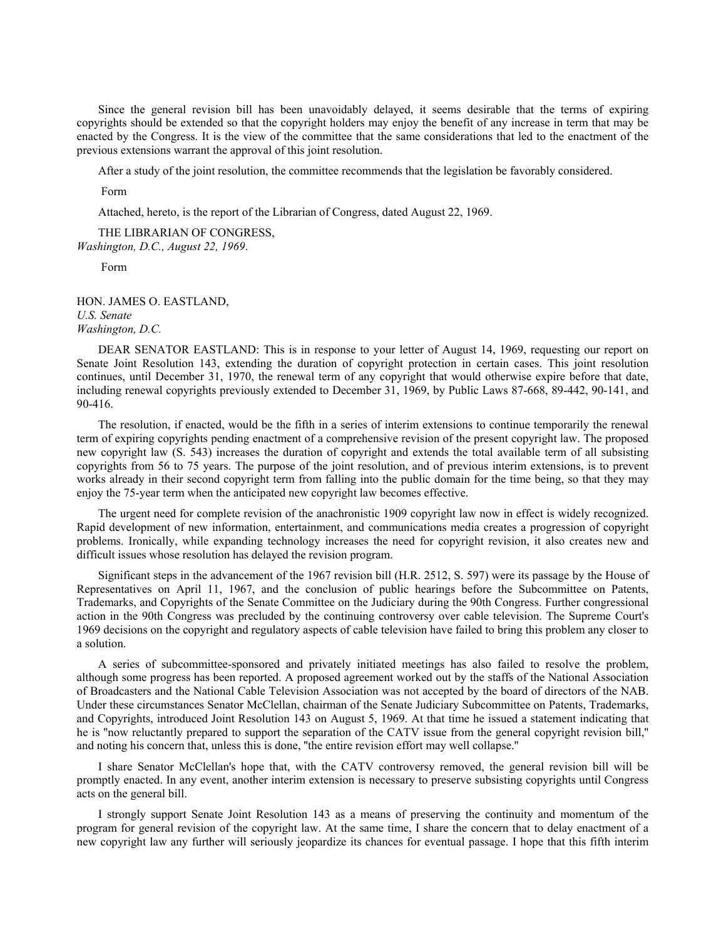Since the general revision bill has been unavoidably delayed, it seems desirable that the terms of expiring copyrights should be extended so that the copyright holders may enjoy the benefit of any increase in term that may be enacted by the Congress. It is the view of the committee that the same considerations that led to the enactment of the previous extensions warrant the approval of this joint resolution.

After a study of the joint resolution, the committee recommends that the legislation be favorably considered.

Form

Attached, hereto, is the report of the Librarian of Congress, dated August 22, 1969.

THE LIBRARIAN OF CONGRESS, *Washington, D.C., August 22, 1969*.

Form

HON. JAMES O. EASTLAND, *U.S. Senate Washington, D.C.*

DEAR SENATOR EASTLAND: This is in response to your letter of August 14, 1969, requesting our report on Senate Joint Resolution 143, extending the duration of copyright protection in certain cases. This joint resolution continues, until December 31, 1970, the renewal term of any copyright that would otherwise expire before that date, including renewal copyrights previously extended to December 31, 1969, by Public Laws 87-668, 89-442, 90-141, and 90-416.

The resolution, if enacted, would be the fifth in a series of interim extensions to continue temporarily the renewal term of expiring copyrights pending enactment of a comprehensive revision of the present copyright law. The proposed new copyright law (S. 543) increases the duration of copyright and extends the total available term of all subsisting copyrights from 56 to 75 years. The purpose of the joint resolution, and of previous interim extensions, is to prevent works already in their second copyright term from falling into the public domain for the time being, so that they may enjoy the 75-year term when the anticipated new copyright law becomes effective.

The urgent need for complete revision of the anachronistic 1909 copyright law now in effect is widely recognized. Rapid development of new information, entertainment, and communications media creates a progression of copyright problems. Ironically, while expanding technology increases the need for copyright revision, it also creates new and difficult issues whose resolution has delayed the revision program.

Significant steps in the advancement of the 1967 revision bill (H.R. 2512, S. 597) were its passage by the House of Representatives on April 11, 1967, and the conclusion of public hearings before the Subcommittee on Patents, Trademarks, and Copyrights of the Senate Committee on the Judiciary during the 90th Congress. Further congressional action in the 90th Congress was precluded by the continuing controversy over cable television. The Supreme Court's 1969 decisions on the copyright and regulatory aspects of cable television have failed to bring this problem any closer to a solution.

A series of subcommittee-sponsored and privately initiated meetings has also failed to resolve the problem, although some progress has been reported. A proposed agreement worked out by the staffs of the National Association of Broadcasters and the National Cable Television Association was not accepted by the board of directors of the NAB. Under these circumstances Senator McClellan, chairman of the Senate Judiciary Subcommittee on Patents, Trademarks, and Copyrights, introduced Joint Resolution 143 on August 5, 1969. At that time he issued a statement indicating that he is ''now reluctantly prepared to support the separation of the CATV issue from the general copyright revision bill,'' and noting his concern that, unless this is done, ''the entire revision effort may well collapse.''

I share Senator McClellan's hope that, with the CATV controversy removed, the general revision bill will be promptly enacted. In any event, another interim extension is necessary to preserve subsisting copyrights until Congress acts on the general bill.

I strongly support Senate Joint Resolution 143 as a means of preserving the continuity and momentum of the program for general revision of the copyright law. At the same time, I share the concern that to delay enactment of a new copyright law any further will seriously jeopardize its chances for eventual passage. I hope that this fifth interim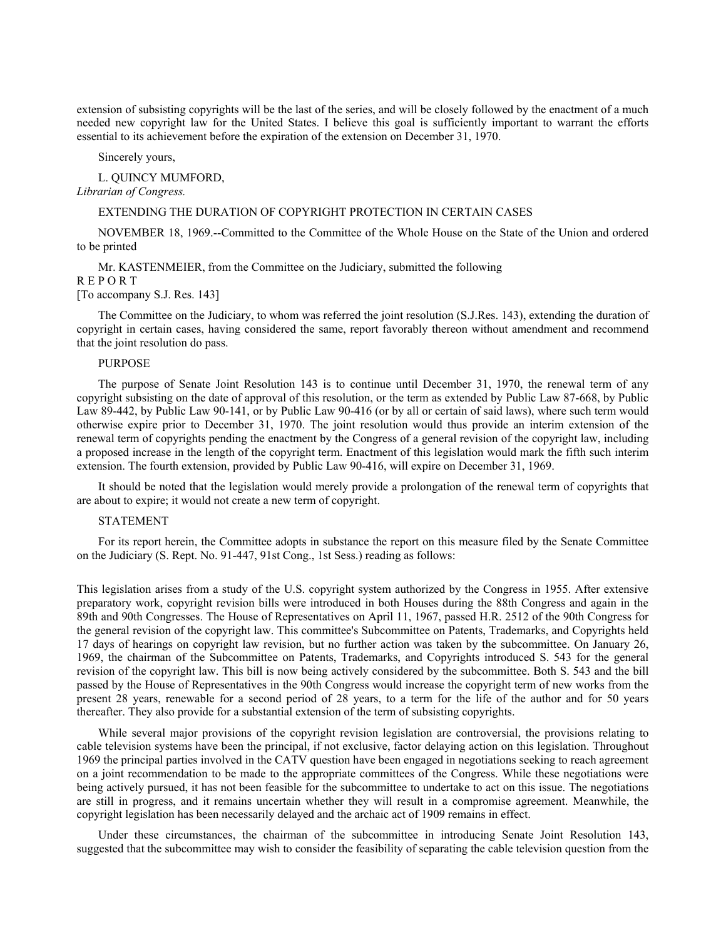extension of subsisting copyrights will be the last of the series, and will be closely followed by the enactment of a much needed new copyright law for the United States. I believe this goal is sufficiently important to warrant the efforts essential to its achievement before the expiration of the extension on December 31, 1970.

Sincerely yours,

L. QUINCY MUMFORD, *Librarian of Congress.*

#### EXTENDING THE DURATION OF COPYRIGHT PROTECTION IN CERTAIN CASES

NOVEMBER 18, 1969.--Committed to the Committee of the Whole House on the State of the Union and ordered to be printed

Mr. KASTENMEIER, from the Committee on the Judiciary, submitted the following R E P O R T

[To accompany S.J. Res. 143]

The Committee on the Judiciary, to whom was referred the joint resolution (S.J.Res. 143), extending the duration of copyright in certain cases, having considered the same, report favorably thereon without amendment and recommend that the joint resolution do pass.

### PURPOSE

The purpose of Senate Joint Resolution 143 is to continue until December 31, 1970, the renewal term of any copyright subsisting on the date of approval of this resolution, or the term as extended by Public Law 87-668, by Public Law 89-442, by Public Law 90-141, or by Public Law 90-416 (or by all or certain of said laws), where such term would otherwise expire prior to December 31, 1970. The joint resolution would thus provide an interim extension of the renewal term of copyrights pending the enactment by the Congress of a general revision of the copyright law, including a proposed increase in the length of the copyright term. Enactment of this legislation would mark the fifth such interim extension. The fourth extension, provided by Public Law 90-416, will expire on December 31, 1969.

It should be noted that the legislation would merely provide a prolongation of the renewal term of copyrights that are about to expire; it would not create a new term of copyright.

# STATEMENT

For its report herein, the Committee adopts in substance the report on this measure filed by the Senate Committee on the Judiciary (S. Rept. No. 91-447, 91st Cong., 1st Sess.) reading as follows:

This legislation arises from a study of the U.S. copyright system authorized by the Congress in 1955. After extensive preparatory work, copyright revision bills were introduced in both Houses during the 88th Congress and again in the 89th and 90th Congresses. The House of Representatives on April 11, 1967, passed H.R. 2512 of the 90th Congress for the general revision of the copyright law. This committee's Subcommittee on Patents, Trademarks, and Copyrights held 17 days of hearings on copyright law revision, but no further action was taken by the subcommittee. On January 26, 1969, the chairman of the Subcommittee on Patents, Trademarks, and Copyrights introduced S. 543 for the general revision of the copyright law. This bill is now being actively considered by the subcommittee. Both S. 543 and the bill passed by the House of Representatives in the 90th Congress would increase the copyright term of new works from the present 28 years, renewable for a second period of 28 years, to a term for the life of the author and for 50 years thereafter. They also provide for a substantial extension of the term of subsisting copyrights.

While several major provisions of the copyright revision legislation are controversial, the provisions relating to cable television systems have been the principal, if not exclusive, factor delaying action on this legislation. Throughout 1969 the principal parties involved in the CATV question have been engaged in negotiations seeking to reach agreement on a joint recommendation to be made to the appropriate committees of the Congress. While these negotiations were being actively pursued, it has not been feasible for the subcommittee to undertake to act on this issue. The negotiations are still in progress, and it remains uncertain whether they will result in a compromise agreement. Meanwhile, the copyright legislation has been necessarily delayed and the archaic act of 1909 remains in effect.

Under these circumstances, the chairman of the subcommittee in introducing Senate Joint Resolution 143, suggested that the subcommittee may wish to consider the feasibility of separating the cable television question from the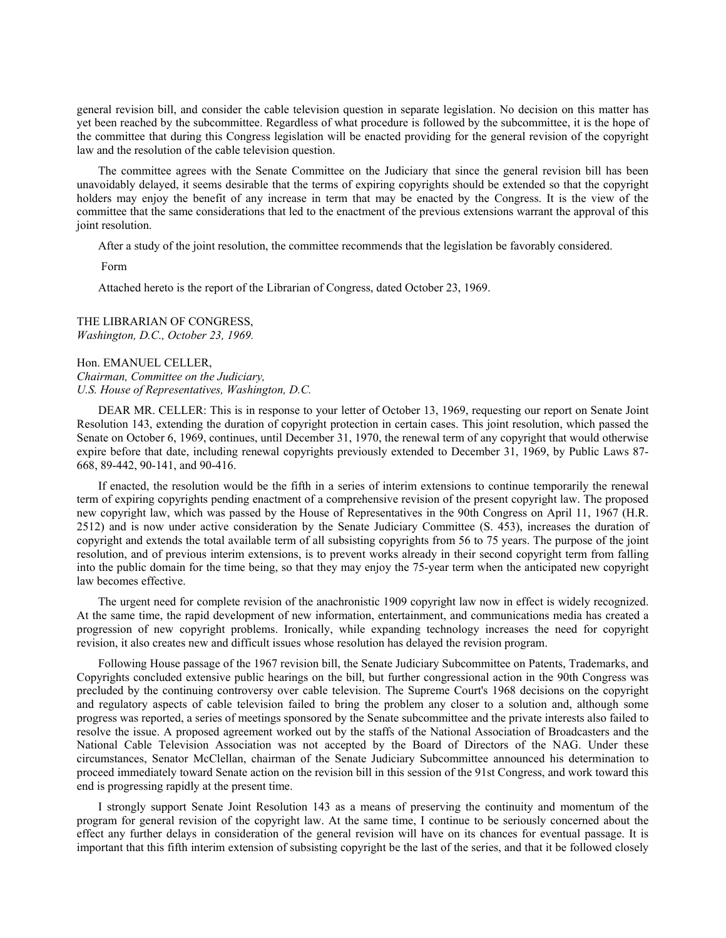general revision bill, and consider the cable television question in separate legislation. No decision on this matter has yet been reached by the subcommittee. Regardless of what procedure is followed by the subcommittee, it is the hope of the committee that during this Congress legislation will be enacted providing for the general revision of the copyright law and the resolution of the cable television question.

The committee agrees with the Senate Committee on the Judiciary that since the general revision bill has been unavoidably delayed, it seems desirable that the terms of expiring copyrights should be extended so that the copyright holders may enjoy the benefit of any increase in term that may be enacted by the Congress. It is the view of the committee that the same considerations that led to the enactment of the previous extensions warrant the approval of this joint resolution.

After a study of the joint resolution, the committee recommends that the legislation be favorably considered.

Form

Attached hereto is the report of the Librarian of Congress, dated October 23, 1969.

THE LIBRARIAN OF CONGRESS, *Washington, D.C., October 23, 1969.*

Hon. EMANUEL CELLER, *Chairman, Committee on the Judiciary, U.S. House of Representatives, Washington, D.C.*

DEAR MR. CELLER: This is in response to your letter of October 13, 1969, requesting our report on Senate Joint Resolution 143, extending the duration of copyright protection in certain cases. This joint resolution, which passed the Senate on October 6, 1969, continues, until December 31, 1970, the renewal term of any copyright that would otherwise expire before that date, including renewal copyrights previously extended to December 31, 1969, by Public Laws 87- 668, 89-442, 90-141, and 90-416.

If enacted, the resolution would be the fifth in a series of interim extensions to continue temporarily the renewal term of expiring copyrights pending enactment of a comprehensive revision of the present copyright law. The proposed new copyright law, which was passed by the House of Representatives in the 90th Congress on April 11, 1967 (H.R. 2512) and is now under active consideration by the Senate Judiciary Committee (S. 453), increases the duration of copyright and extends the total available term of all subsisting copyrights from 56 to 75 years. The purpose of the joint resolution, and of previous interim extensions, is to prevent works already in their second copyright term from falling into the public domain for the time being, so that they may enjoy the 75-year term when the anticipated new copyright law becomes effective.

The urgent need for complete revision of the anachronistic 1909 copyright law now in effect is widely recognized. At the same time, the rapid development of new information, entertainment, and communications media has created a progression of new copyright problems. Ironically, while expanding technology increases the need for copyright revision, it also creates new and difficult issues whose resolution has delayed the revision program.

Following House passage of the 1967 revision bill, the Senate Judiciary Subcommittee on Patents, Trademarks, and Copyrights concluded extensive public hearings on the bill, but further congressional action in the 90th Congress was precluded by the continuing controversy over cable television. The Supreme Court's 1968 decisions on the copyright and regulatory aspects of cable television failed to bring the problem any closer to a solution and, although some progress was reported, a series of meetings sponsored by the Senate subcommittee and the private interests also failed to resolve the issue. A proposed agreement worked out by the staffs of the National Association of Broadcasters and the National Cable Television Association was not accepted by the Board of Directors of the NAG. Under these circumstances, Senator McClellan, chairman of the Senate Judiciary Subcommittee announced his determination to proceed immediately toward Senate action on the revision bill in this session of the 91st Congress, and work toward this end is progressing rapidly at the present time.

I strongly support Senate Joint Resolution 143 as a means of preserving the continuity and momentum of the program for general revision of the copyright law. At the same time, I continue to be seriously concerned about the effect any further delays in consideration of the general revision will have on its chances for eventual passage. It is important that this fifth interim extension of subsisting copyright be the last of the series, and that it be followed closely